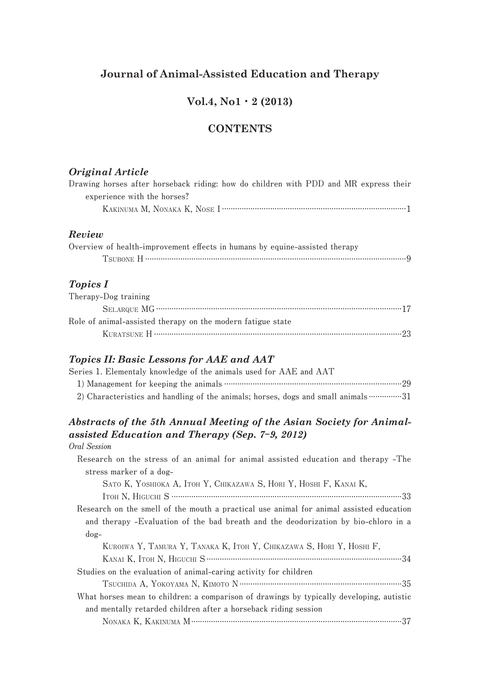# **Journal of Animal-Assisted Education and Therapy**

# **Vol.4, No1**・**2 (2013)**

# **CONTENTS**

### *Original Article*

| Drawing horses after horseback riding: how do children with PDD and MR express their |                             |  |  |  |  |  |
|--------------------------------------------------------------------------------------|-----------------------------|--|--|--|--|--|
|                                                                                      | experience with the horses? |  |  |  |  |  |
|                                                                                      |                             |  |  |  |  |  |

### *Review*

| Overview of health-improvement effects in humans by equine-assisted therapy |  |
|-----------------------------------------------------------------------------|--|
|                                                                             |  |

## *Topics I*

| Therapy-Dog training                                        |  |
|-------------------------------------------------------------|--|
|                                                             |  |
| Role of animal-assisted therapy on the modern fatigue state |  |
|                                                             |  |

#### *Topics II: Basic Lessons for AAE and AAT*

| Series 1. Elementaly knowledge of the animals used for AAE and AAT |  |
|--------------------------------------------------------------------|--|
|                                                                    |  |
|                                                                    |  |

## *Abstracts of the 5th Annual Meeting of the Asian Society for Animalassisted Education and Therapy (Sep. 7***-***9, 2012)* **Oral Session**

 **Research on the stress of an animal for animal assisted education and therapy -The stress marker of a dog- Sato K, Yoshioka A, Itoh Y, Chikazawa S, Hori Y, Hoshi F, Kanai K, Itoh N, Higuchi S .........................................................................................................33 Research on the smell of the mouth a practical use animal for animal assisted education and therapy -Evaluation of the bad breath and the deodorization by bio-chloro in a dog- Kuroiwa Y, Tamura Y, Tanaka K, Itoh Y, Chikazawa S, Hori Y, Hoshi F, Kanai K, Itoh N, Higuchi S.........................................................................................34 Studies on the evaluation of animal-caring activity for children Tsuchida A, Yokoyama N, Kimoto N..........................................................................35 What horses mean to children: a comparison of drawings by typically developing, autistic and mentally retarded children after a horseback riding session Nonaka K, Kakinuma M................................................................................................37**